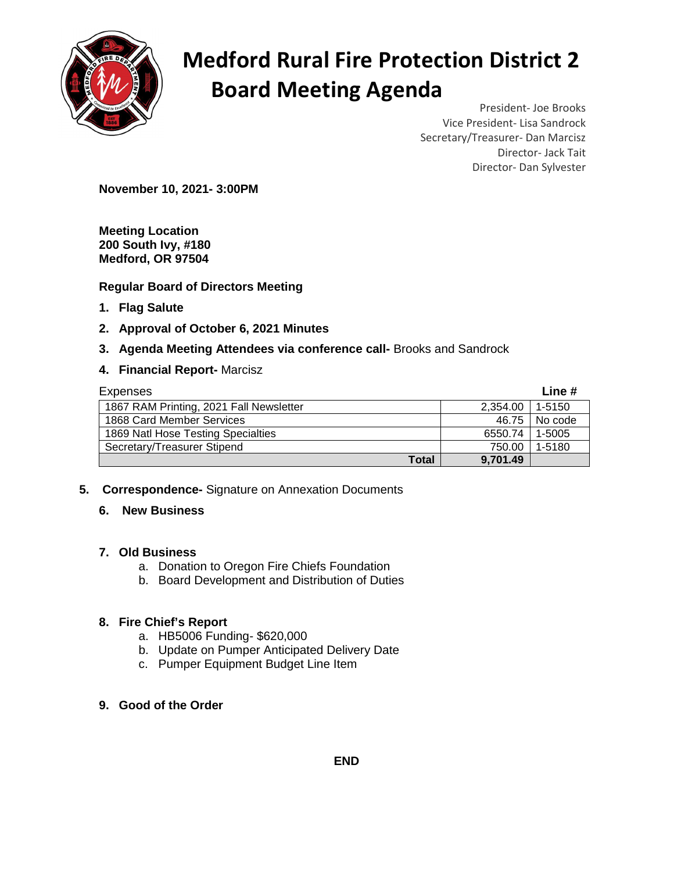

# **Medford Rural Fire Protection District 2 Board Meeting Agenda**

President- Joe Brooks Vice President- Lisa Sandrock Secretary/Treasurer- Dan Marcisz Director- Jack Tait Director- Dan Sylvester

**November 10, 2021- 3:00PM** 

**Meeting Location 200 South Ivy, #180 Medford, OR 97504** 

## **Regular Board of Directors Meeting**

- **1. Flag Salute**
- **2. Approval of October 6, 2021 Minutes**
- **3. Agenda Meeting Attendees via conference call-** Brooks and Sandrock
- **4. Financial Report-** Marcisz

| Expenses                                |          | Line #  |
|-----------------------------------------|----------|---------|
| 1867 RAM Printing, 2021 Fall Newsletter | 2,354.00 | 1-5150  |
| 1868 Card Member Services               | 46.75    | No code |
| 1869 Natl Hose Testing Specialties      | 6550.74  | 1-5005  |
| Secretary/Treasurer Stipend             | 750.00   | 1-5180  |
| Total                                   | 9,701.49 |         |

**5. Correspondence-** Signature on Annexation Documents

## **6. New Business**

#### **7. Old Business**

- a. Donation to Oregon Fire Chiefs Foundation
- b. Board Development and Distribution of Duties

## **8. Fire Chief's Report**

- a. HB5006 Funding- \$620,000
- b. Update on Pumper Anticipated Delivery Date
- c. Pumper Equipment Budget Line Item
- **9. Good of the Order**